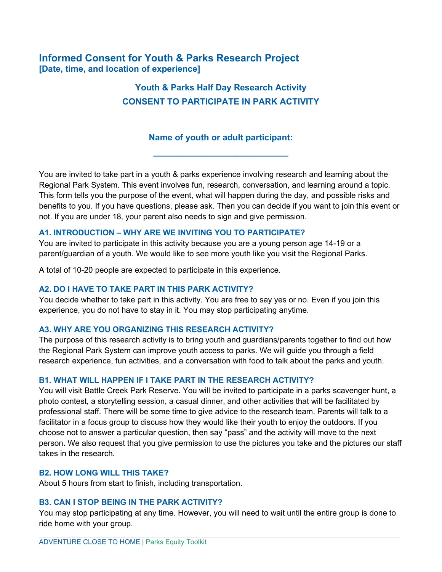# **Informed Consent for Youth & Parks Research Project [Date, time, and location of experience]**

# **Youth & Parks Half Day Research Activity CONSENT TO PARTICIPATE IN PARK ACTIVITY**

## **Name of youth or adult participant:**

**\_\_\_\_\_\_\_\_\_\_\_\_\_\_\_\_\_\_\_\_\_\_\_\_\_\_\_\_**

You are invited to take part in a youth & parks experience involving research and learning about the Regional Park System. This event involves fun, research, conversation, and learning around a topic. This form tells you the purpose of the event, what will happen during the day, and possible risks and benefits to you. If you have questions, please ask. Then you can decide if you want to join this event or not. If you are under 18, your parent also needs to sign and give permission.

## **A1. INTRODUCTION – WHY ARE WE INVITING YOU TO PARTICIPATE?**

You are invited to participate in this activity because you are a young person age 14-19 or a parent/guardian of a youth. We would like to see more youth like you visit the Regional Parks.

A total of 10-20 people are expected to participate in this experience.

## **A2. DO I HAVE TO TAKE PART IN THIS PARK ACTIVITY?**

You decide whether to take part in this activity. You are free to say yes or no. Even if you join this experience, you do not have to stay in it. You may stop participating anytime.

#### **A3. WHY ARE YOU ORGANIZING THIS RESEARCH ACTIVITY?**

The purpose of this research activity is to bring youth and guardians/parents together to find out how the Regional Park System can improve youth access to parks. We will guide you through a field research experience, fun activities, and a conversation with food to talk about the parks and youth.

#### **B1. WHAT WILL HAPPEN IF I TAKE PART IN THE RESEARCH ACTIVITY?**

You will visit Battle Creek Park Reserve. You will be invited to participate in a parks scavenger hunt, a photo contest, a storytelling session, a casual dinner, and other activities that will be facilitated by professional staff. There will be some time to give advice to the research team. Parents will talk to a facilitator in a focus group to discuss how they would like their youth to enjoy the outdoors. If you choose not to answer a particular question, then say "pass" and the activity will move to the next person. We also request that you give permission to use the pictures you take and the pictures our staff takes in the research.

## **B2. HOW LONG WILL THIS TAKE?**

About 5 hours from start to finish, including transportation.

#### **B3. CAN I STOP BEING IN THE PARK ACTIVITY?**

You may stop participating at any time. However, you will need to wait until the entire group is done to ride home with your group.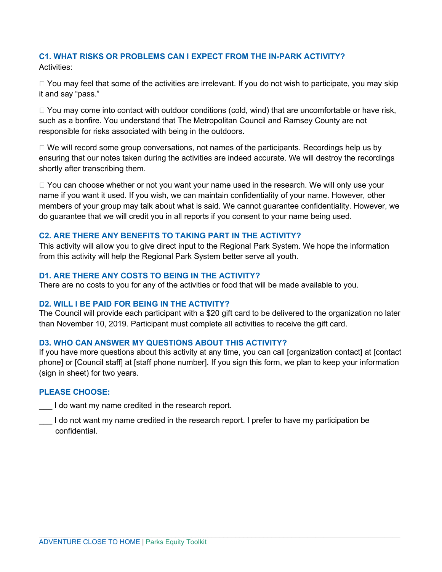## **C1. WHAT RISKS OR PROBLEMS CAN I EXPECT FROM THE IN-PARK ACTIVITY?**  Activities:

 $\Box$  You may feel that some of the activities are irrelevant. If you do not wish to participate, you may skip it and say "pass."

 $\Box$  You may come into contact with outdoor conditions (cold, wind) that are uncomfortable or have risk, such as a bonfire. You understand that The Metropolitan Council and Ramsey County are not responsible for risks associated with being in the outdoors.

 $\Box$  We will record some group conversations, not names of the participants. Recordings help us by ensuring that our notes taken during the activities are indeed accurate. We will destroy the recordings shortly after transcribing them.

 $\Box$  You can choose whether or not you want your name used in the research. We will only use your name if you want it used. If you wish, we can maintain confidentiality of your name. However, other members of your group may talk about what is said. We cannot guarantee confidentiality. However, we do guarantee that we will credit you in all reports if you consent to your name being used.

## **C2. ARE THERE ANY BENEFITS TO TAKING PART IN THE ACTIVITY?**

This activity will allow you to give direct input to the Regional Park System. We hope the information from this activity will help the Regional Park System better serve all youth.

## **D1. ARE THERE ANY COSTS TO BEING IN THE ACTIVITY?**

There are no costs to you for any of the activities or food that will be made available to you.

#### **D2. WILL I BE PAID FOR BEING IN THE ACTIVITY?**

The Council will provide each participant with a \$20 gift card to be delivered to the organization no later than November 10, 2019. Participant must complete all activities to receive the gift card.

## **D3. WHO CAN ANSWER MY QUESTIONS ABOUT THIS ACTIVITY?**

If you have more questions about this activity at any time, you can call [organization contact] at [contact phone] or [Council staff] at [staff phone number]. If you sign this form, we plan to keep your information (sign in sheet) for two years.

## **PLEASE CHOOSE:**

I do want my name credited in the research report.

I do not want my name credited in the research report. I prefer to have my participation be confidential.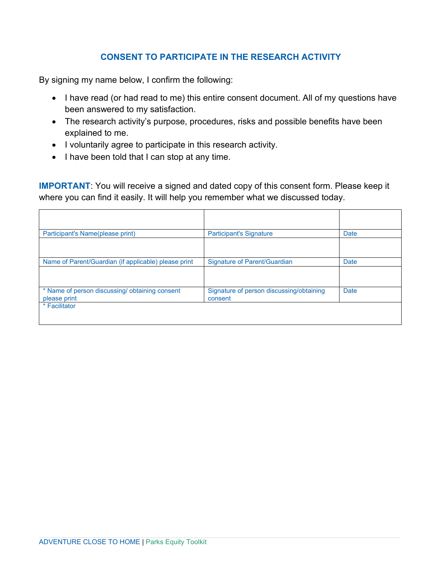## **CONSENT TO PARTICIPATE IN THE RESEARCH ACTIVITY**

By signing my name below, I confirm the following:

- I have read (or had read to me) this entire consent document. All of my questions have been answered to my satisfaction.
- The research activity's purpose, procedures, risks and possible benefits have been explained to me.
- I voluntarily agree to participate in this research activity.
- I have been told that I can stop at any time.

**IMPORTANT**: You will receive a signed and dated copy of this consent form. Please keep it where you can find it easily. It will help you remember what we discussed today.

| Participant's Name(please print)                              | <b>Participant's Signature</b>                      | <b>Date</b> |
|---------------------------------------------------------------|-----------------------------------------------------|-------------|
|                                                               |                                                     |             |
| Name of Parent/Guardian (if applicable) please print          | <b>Signature of Parent/Guardian</b>                 | <b>Date</b> |
|                                                               |                                                     |             |
| * Name of person discussing/obtaining consent<br>please print | Signature of person discussing/obtaining<br>consent | Date        |
| * Facilitator                                                 |                                                     |             |